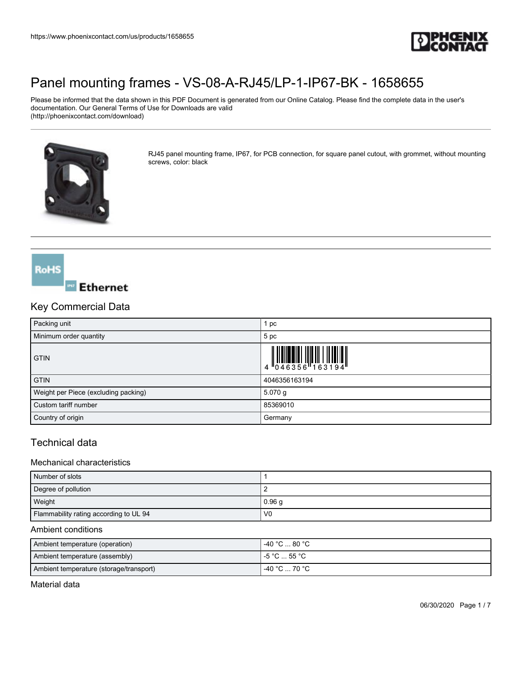

Please be informed that the data shown in this PDF Document is generated from our Online Catalog. Please find the complete data in the user's documentation. Our General Terms of Use for Downloads are valid (http://phoenixcontact.com/download)



RJ45 panel mounting frame, IP67, for PCB connection, for square panel cutout, with grommet, without mounting screws, color: black

## **RoHS**

### **Ethernet**

### Key Commercial Data

| Packing unit                         | 1 pc          |
|--------------------------------------|---------------|
| Minimum order quantity               | 5 pc          |
| <b>GTIN</b>                          |               |
| <b>GTIN</b>                          | 4046356163194 |
| Weight per Piece (excluding packing) | $5.070$ g     |
| Custom tariff number                 | 85369010      |
| Country of origin                    | Germany       |

### Technical data

#### Mechanical characteristics

| Number of slots                        |                   |
|----------------------------------------|-------------------|
| Degree of pollution                    |                   |
| Weight                                 | 0.96 <sub>q</sub> |
| Flammability rating according to UL 94 | V <sub>0</sub>    |

#### Ambient conditions

| Ambient temperature (operation)         | $-40 °C \dots 80 °C$                          |  |
|-----------------------------------------|-----------------------------------------------|--|
| Ambient temperature (assembly)          | I -5 °C  55 °C .                              |  |
| Ambient temperature (storage/transport) | $-40\,^{\circ}\text{C}$ 70 $^{\circ}\text{C}$ |  |

Material data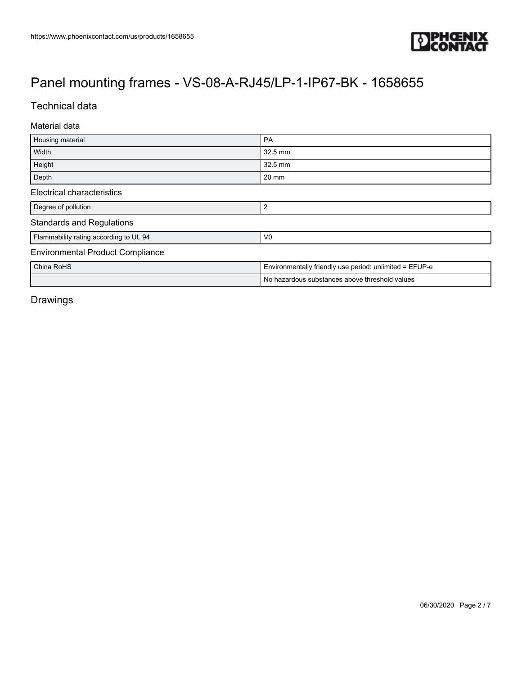

### Technical data

#### Material data

| Housing material                                         | <b>PA</b>                                               |
|----------------------------------------------------------|---------------------------------------------------------|
| Width                                                    | 32.5 mm                                                 |
| Height                                                   | 32.5 mm                                                 |
| Depth                                                    | 20 mm                                                   |
| <b>Electrical characteristics</b>                        |                                                         |
| Degree of pollution                                      | 2                                                       |
| <b>Standards and Regulations</b>                         |                                                         |
| Flammability rating according to UL 94<br>V <sub>0</sub> |                                                         |
| <b>Environmental Product Compliance</b>                  |                                                         |
| China RoHS                                               | Environmentally friendly use period: unlimited = EFUP-e |
|                                                          | No hazardous substances above threshold values          |

Drawings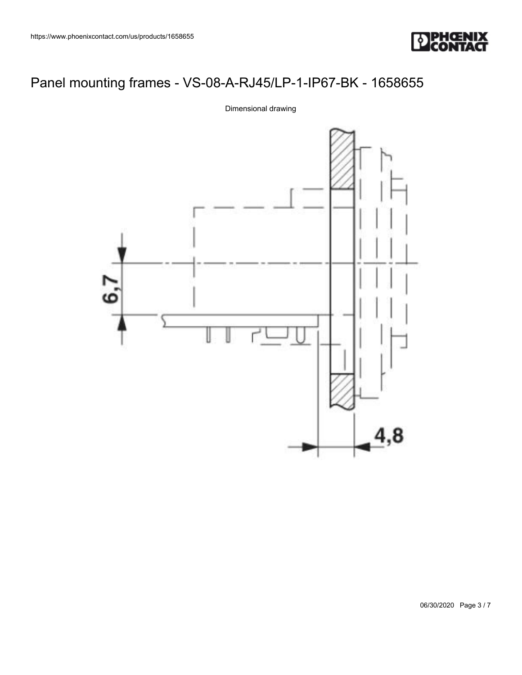



Dimensional drawing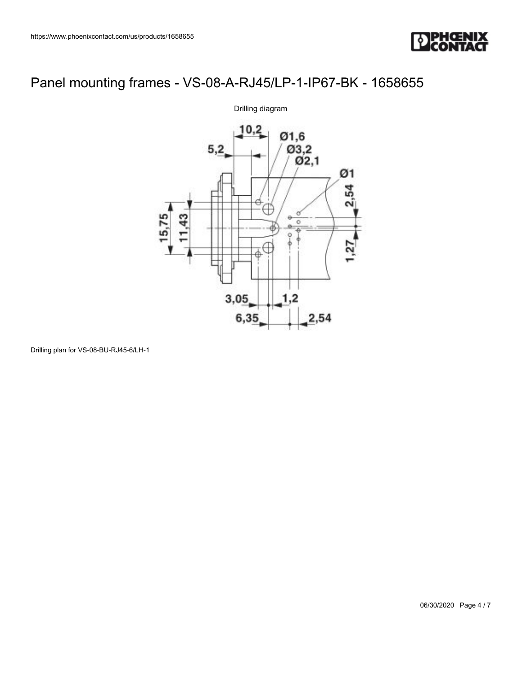



Drilling plan for VS-08-BU-RJ45-6/LH-1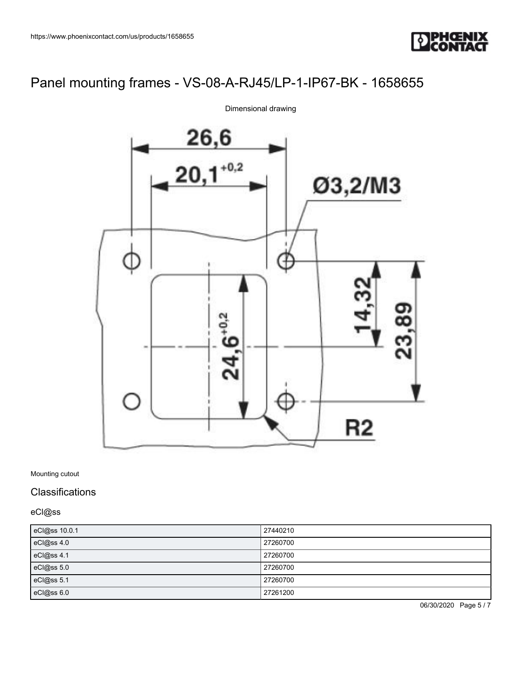



Dimensional drawing

Mounting cutout

### **Classifications**

eCl@ss

| eCl@ss 10.0.1 | 27440210 |
|---------------|----------|
| eCl@ss 4.0    | 27260700 |
| eCl@ss 4.1    | 27260700 |
| eCl@ss 5.0    | 27260700 |
| eCl@ss 5.1    | 27260700 |
| eCl@ss 6.0    | 27261200 |

06/30/2020 Page 5 / 7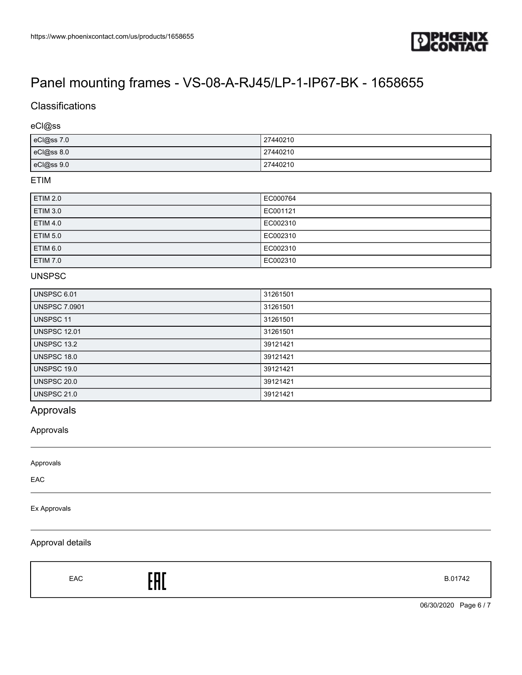

### **Classifications**

#### eCl@ss

| eCl@ss 7.0 | 27440210 |
|------------|----------|
| eCl@ss 8.0 | 27440210 |
| eCl@ss 9.0 | 27440210 |

### ETIM

| <b>ETIM 2.0</b> | EC000764 |
|-----------------|----------|
| <b>ETIM 3.0</b> | EC001121 |
| ETIM 4.0        | EC002310 |
| <b>ETIM 5.0</b> | EC002310 |
| <b>ETIM 6.0</b> | EC002310 |
| ETIM 7.0        | EC002310 |

#### UNSPSC

| UNSPSC 6.01          | 31261501 |
|----------------------|----------|
| <b>UNSPSC 7.0901</b> | 31261501 |
| <b>UNSPSC 11</b>     | 31261501 |
| <b>UNSPSC 12.01</b>  | 31261501 |
| <b>UNSPSC 13.2</b>   | 39121421 |
| UNSPSC 18.0          | 39121421 |
| UNSPSC 19.0          | 39121421 |
| UNSPSC 20.0          | 39121421 |
| <b>UNSPSC 21.0</b>   | 39121421 |

### Approvals

#### Approvals

| Approvals    |  |
|--------------|--|
| EAC          |  |
| Ex Approvals |  |

#### Approval details

Г

| EAC | EAC | B.01742 |
|-----|-----|---------|
|-----|-----|---------|

06/30/2020 Page 6 / 7